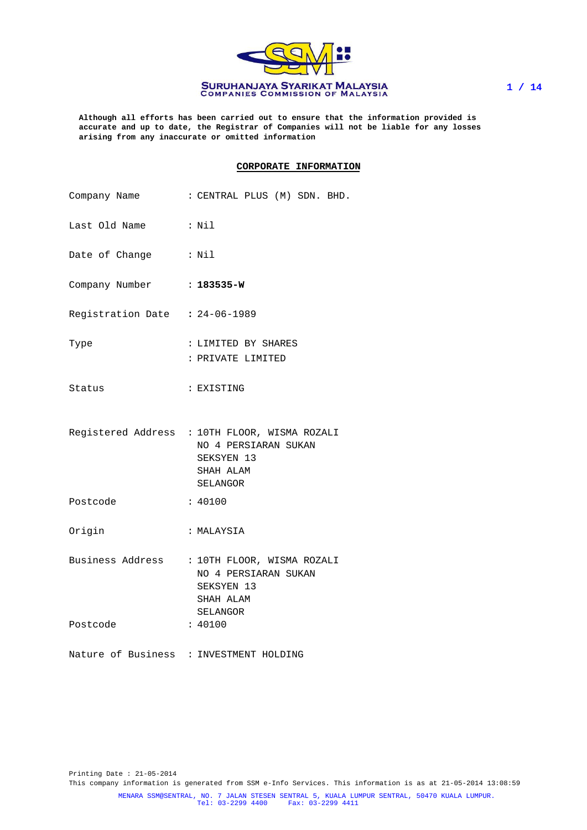

**Although all efforts has been carried out to ensure that the information provided is accurate and up to date, the Registrar of Companies will not be liable for any losses arising from any inaccurate or omitted information**

#### **CORPORATE INFORMATION**

|                                | Company Name : CENTRAL PLUS (M) SDN. BHD.                                                                    |
|--------------------------------|--------------------------------------------------------------------------------------------------------------|
| Last Old Name : Nil            |                                                                                                              |
| Date of Change                 | $:$ $Nil$                                                                                                    |
| Company Number : 183535-W      |                                                                                                              |
| Registration Date : 24-06-1989 |                                                                                                              |
| Type                           | : LIMITED BY SHARES<br>: PRIVATE LIMITED                                                                     |
| Status                         | : EXISTING                                                                                                   |
|                                | Registered Address : 10TH FLOOR, WISMA ROZALI<br>NO 4 PERSIARAN SUKAN<br>SEKSYEN 13<br>SHAH ALAM<br>SELANGOR |
| Postcode                       | : 40100                                                                                                      |
| Origin                         | : MALAYSIA                                                                                                   |
|                                | Business Address : 10TH FLOOR, WISMA ROZALI<br>NO 4 PERSIARAN SUKAN<br>SEKSYEN 13<br>SHAH ALAM<br>SELANGOR   |
| Postcode                       | : 40100                                                                                                      |
|                                | Nature of Business : INVESTMENT HOLDING                                                                      |

Printing Date : 21-05-2014 This company information is generated from SSM e-Info Services. This information is as at 21-05-2014 13:08:59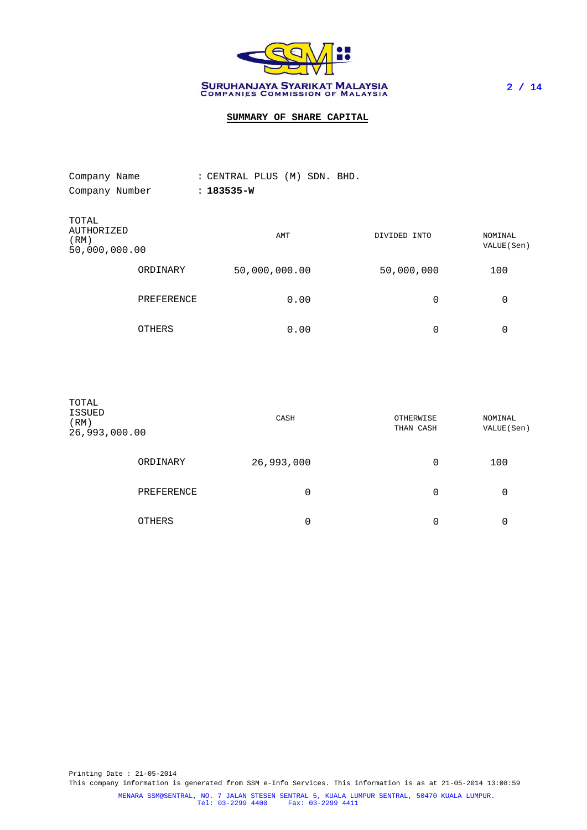

# **SUMMARY OF SHARE CAPITAL**

| Company Name                                 |            | : CENTRAL PLUS (M) SDN. BHD. |              |                        |
|----------------------------------------------|------------|------------------------------|--------------|------------------------|
| Company Number                               |            | $: 183535 - W$               |              |                        |
| TOTAL<br>AUTHORIZED<br>(RM)<br>50,000,000.00 |            | AMT                          | DIVIDED INTO | NOMINAL<br>VALUE (Sen) |
|                                              | ORDINARY   | 50,000,000.00                | 50,000,000   | 100                    |
|                                              | PREFERENCE | 0.00                         | 0            | 0                      |
|                                              | OTHERS     | 0.00                         | 0            | 0                      |

| TOTAL<br><b>ISSUED</b><br>(RM)<br>26,993,000.00 |            | CASH       | OTHERWISE<br>THAN CASH | NOMINAL<br>VALUE (Sen) |
|-------------------------------------------------|------------|------------|------------------------|------------------------|
|                                                 | ORDINARY   | 26,993,000 | 0                      | 100                    |
|                                                 | PREFERENCE | 0          | 0                      | 0                      |
|                                                 | OTHERS     | 0          | 0                      | 0                      |

Printing Date : 21-05-2014 This company information is generated from SSM e-Info Services. This information is as at 21-05-2014 13:08:59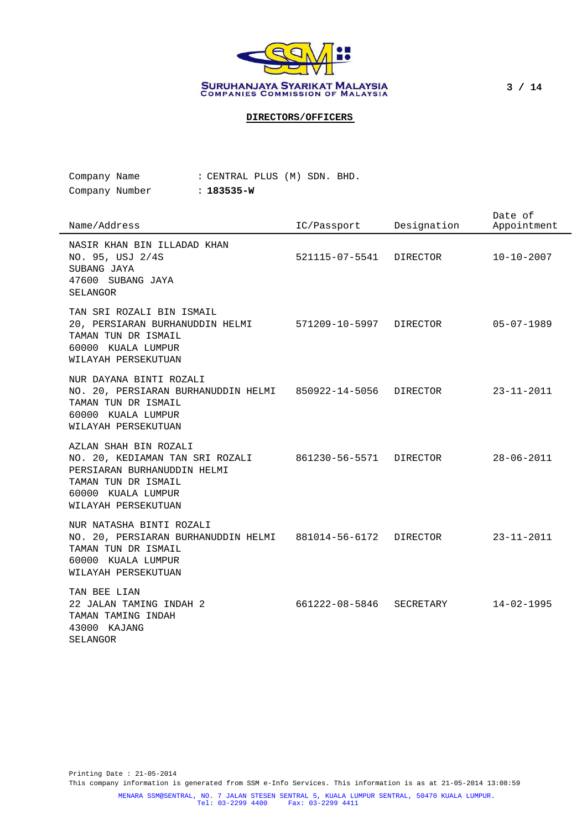

3 / 14

# **DIRECTORS/OFFICERS**

| Company Name   |  | : CENTRAL PLUS (M) SDN. BHD. |  |  |
|----------------|--|------------------------------|--|--|
| Company Number |  | $: 183535 - W$               |  |  |

| Name/Address                                                                                                                                                | IC/Passport             | Designation | Date of<br>Appointment |
|-------------------------------------------------------------------------------------------------------------------------------------------------------------|-------------------------|-------------|------------------------|
| NASIR KHAN BIN ILLADAD KHAN<br>NO. 95, USJ 2/4S<br>SUBANG JAYA<br>47600 SUBANG JAYA<br>SELANGOR                                                             | 521115-07-5541          | DIRECTOR    | $10 - 10 - 2007$       |
| TAN SRI ROZALI BIN ISMAIL<br>20, PERSIARAN BURHANUDDIN HELMI<br>TAMAN TUN DR ISMAIL<br>60000 KUALA LUMPUR<br>WILAYAH PERSEKUTUAN                            | 571209-10-5997 DIRECTOR |             | $05 - 07 - 1989$       |
| NUR DAYANA BINTI ROZALI<br>NO. 20, PERSIARAN BURHANUDDIN HELMI 850922-14-5056<br>TAMAN TUN DR ISMAIL<br>60000 KUALA LUMPUR<br>WILAYAH PERSEKUTUAN           |                         | DIRECTOR    | $23 - 11 - 2011$       |
| AZLAN SHAH BIN ROZALI<br>NO. 20, KEDIAMAN TAN SRI ROZALI<br>PERSIARAN BURHANUDDIN HELMI<br>TAMAN TUN DR ISMAIL<br>60000 KUALA LUMPUR<br>WILAYAH PERSEKUTUAN | 861230-56-5571          | DIRECTOR    | $28 - 06 - 2011$       |
| NUR NATASHA BINTI ROZALI<br>NO. 20, PERSIARAN BURHANUDDIN HELMI 881014-56-6172<br>TAMAN TUN DR ISMAIL<br>60000 KUALA LUMPUR<br>WILAYAH PERSEKUTUAN          |                         | DIRECTOR    | $23 - 11 - 2011$       |
| TAN BEE LIAN<br>22 JALAN TAMING INDAH 2<br>TAMAN TAMING INDAH<br>43000 KAJANG<br>SELANGOR                                                                   | 661222-08-5846          | SECRETARY   | $14 - 02 - 1995$       |

Printing Date : 21-05-2014 This company information is generated from SSM e-Info Services. This information is as at 21-05-2014 13:08:59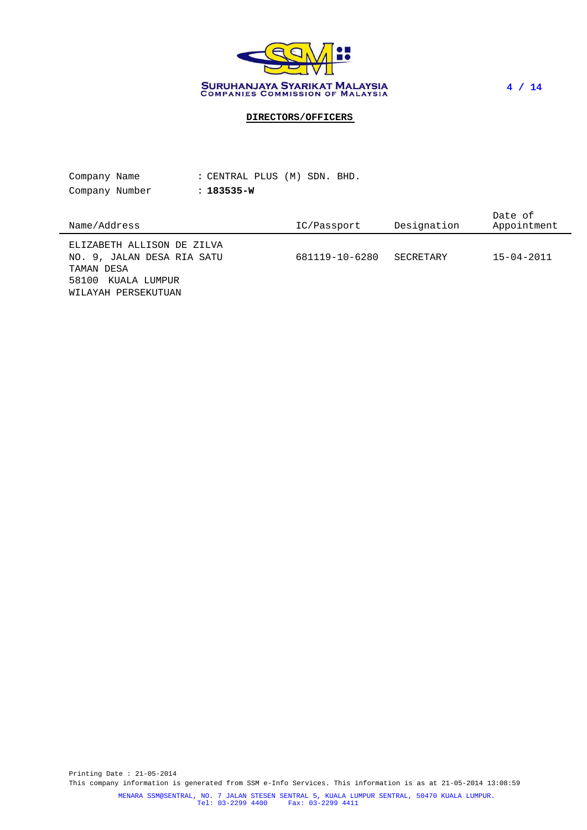

4 / 14

### **DIRECTORS/OFFICERS**

| Company Name   | : CENTRAL PLUS (M) SDN. BHD. |  |             |             |                        |
|----------------|------------------------------|--|-------------|-------------|------------------------|
| Company Number | : 183535-W                   |  |             |             |                        |
| Name/Address   |                              |  | IC/Passport | Designation | Date of<br>Appointment |

681119-10-6280 SECRETARY 15-04-2011

ELIZABETH ALLISON DE ZILVA<br>NO. 9, JALAN DESA RIA SATU TAMAN DESA 58100 KUALA LUMPUR WILAYAH PERSEKUTUAN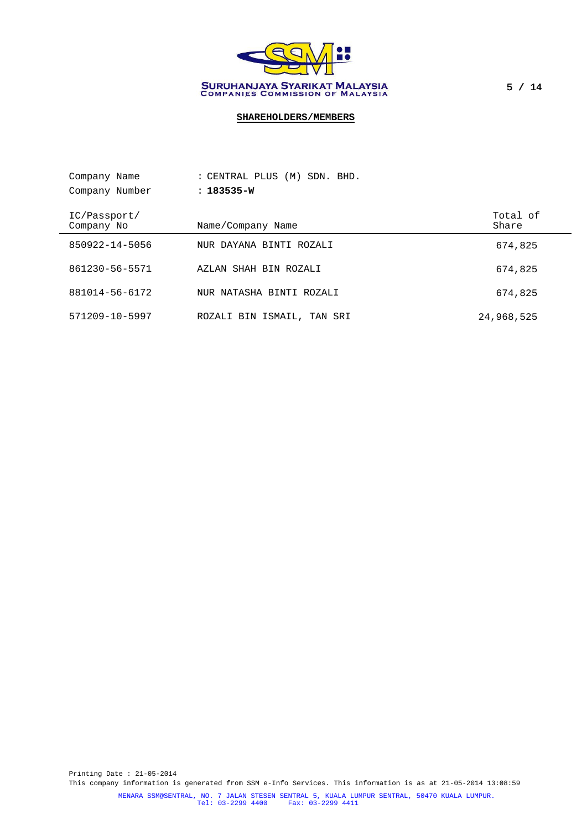

**SHAREHOLDERS/MEMBERS**

| Company Name               | : CENTRAL PLUS (M) SDN. BHD. |                   |
|----------------------------|------------------------------|-------------------|
| Company Number             | $: 183535 - W$               |                   |
| IC/Passport/<br>Company No | Name/Company Name            | Total of<br>Share |
| 850922-14-5056             | NUR DAYANA BINTI ROZALI      | 674,825           |
| 861230-56-5571             | AZLAN SHAH BIN ROZALI        | 674,825           |
| 881014-56-6172             | NUR NATASHA BINTI ROZALI     | 674,825           |
| 571209-10-5997             | ROZALI BIN ISMAIL, TAN SRI   | 24,968,525        |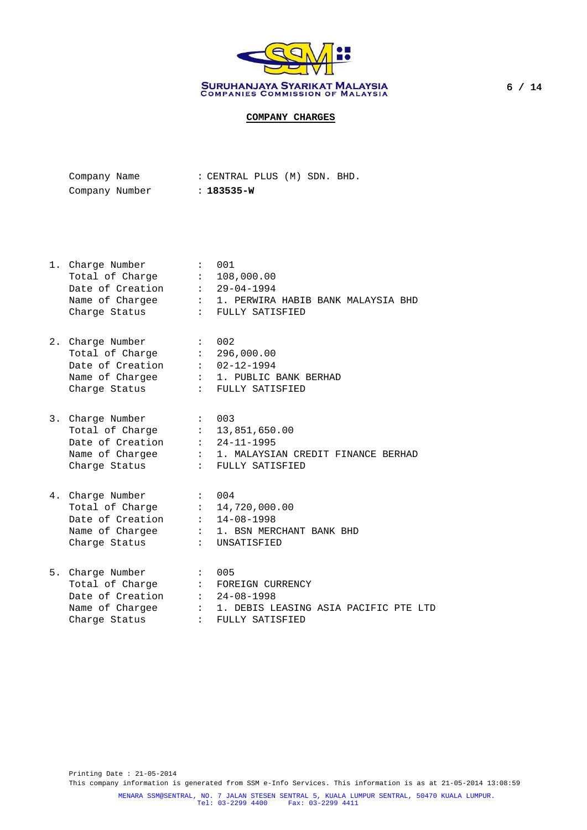

| Company Name   |  | : CENTRAL PLUS (M) SDN. BHD. |  |  |
|----------------|--|------------------------------|--|--|
| Company Number |  | $: 183535 - W$               |  |  |

|    | 1. Charge Number<br>Total of Charge : 108,000.00<br>Date of Creation : 29-04-1994<br>Charge Status | : 001<br>Name of Chargee : 1. PERWIRA HABIB BANK MALAYSIA BHD<br>: FULLY SATISFIED                                    |
|----|----------------------------------------------------------------------------------------------------|-----------------------------------------------------------------------------------------------------------------------|
|    | 2. Charge Number<br>Total of Charge : 296,000.00<br>Date of Creation : 02-12-1994<br>Charge Status | $\cdot$ 002<br>Name of Chargee : 1. PUBLIC BANK BERHAD<br>: FULLY SATISFIED                                           |
|    | 3. Charge Number<br>Date of Creation : 24-11-1995<br>Charge Status                                 | : 003<br>Total of Charge : 13,851,650.00<br>Name of Chargee : 1. MALAYSIAN CREDIT FINANCE BERHAD<br>: FULLY SATISFIED |
|    | 4. Charge Number<br>Date of Creation : 14-08-1998<br>Charge Status                                 | : 004<br>Total of Charge : 14,720,000.00<br>Name of Chargee : 1. BSN MERCHANT BANK BHD<br>: UNSATISFIED               |
| 5. | Charge Number<br>Date of Creation : 24-08-1998<br>Name of Chargee                                  | : 005<br>Total of Charge : FOREIGN CURRENCY<br>: 1. DEBIS LEASING ASIA PACIFIC PTE LTD                                |

Charge Status : FULLY SATISFIED

Printing Date : 21-05-2014 This company information is generated from SSM e-Info Services. This information is as at 21-05-2014 13:08:59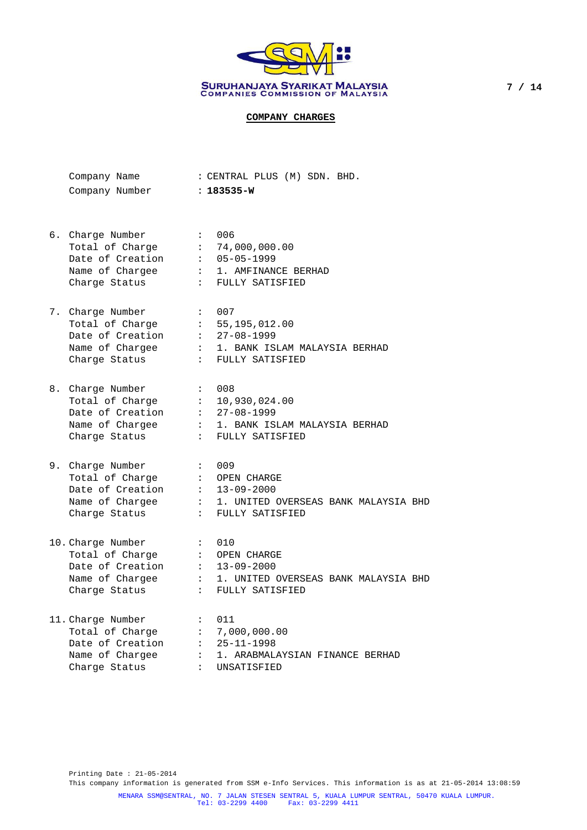

| Company Name |  | : CENTRAL PLUS (M) SDN. BHD. |  |  |  |  |
|--------------|--|------------------------------|--|--|--|--|
|--------------|--|------------------------------|--|--|--|--|

Company Number : **183535-W**

- 6. Charge Number : 006 Total of Charge : 74,000,000.00 Date of Creation : 05-05-1999 Name of Chargee : 1. AMFINANCE BERHAD Charge Status : FULLY SATISFIED
- 7. Charge Number : 007 Total of Charge : 55,195,012.00 Date of Creation : 27-08-1999 Name of Chargee : 1. BANK ISLAM MALAYSIA BERHAD Charge Status : FULLY SATISFIED
- 8. Charge Number : 008 Total of Charge : 10,930,024.00 Date of Creation : 27-08-1999 Name of Chargee : 1. BANK ISLAM MALAYSIA BERHAD Charge Status : FULLY SATISFIED
- 9. Charge Number : 009 Total of Charge : OPEN CHARGE Date of Creation : 13-09-2000 Name of Chargee : 1. UNITED OVERSEAS BANK MALAYSIA BHD Charge Status : FULLY SATISFIED
- 10. Charge Number : 010 Total of Charge : OPEN CHARGE Date of Creation : 13-09-2000 Name of Chargee : 1. UNITED OVERSEAS BANK MALAYSIA BHD Charge Status : FULLY SATISFIED

| UNSATISFIED |                                                                                    |
|-------------|------------------------------------------------------------------------------------|
|             | : 011<br>: 7.000.000.00<br>$: 25 - 11 - 1998$<br>: 1. ARABMALAYSIAN FINANCE BERHAD |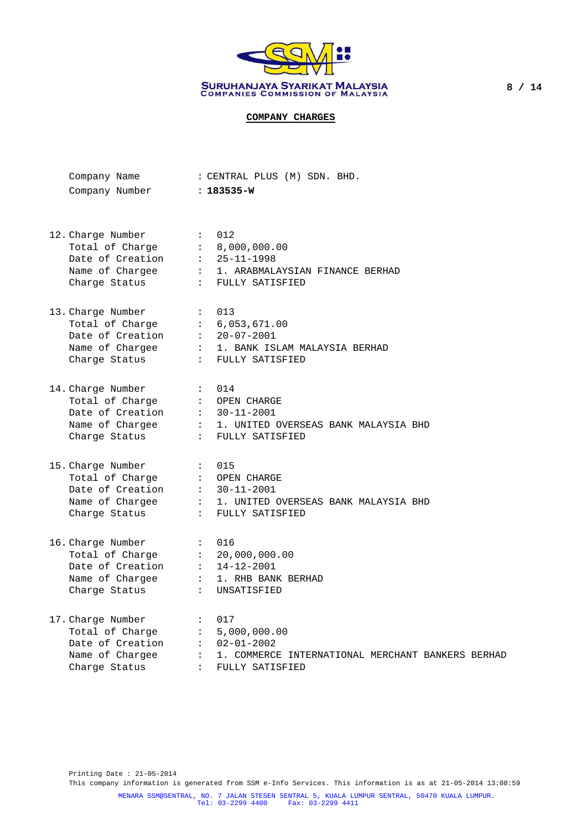

| Company Name                                                   | : CENTRAL PLUS (M) SDN. BHD.                                                                                               |
|----------------------------------------------------------------|----------------------------------------------------------------------------------------------------------------------------|
| Company Number : 183535-W                                      |                                                                                                                            |
|                                                                |                                                                                                                            |
| 12. Charge Number                                              | $\cdot$ 012                                                                                                                |
| Total of Charge : 8,000,000.00                                 |                                                                                                                            |
|                                                                |                                                                                                                            |
|                                                                |                                                                                                                            |
|                                                                | Date of Creation : 25-11-1998<br>Name of Chargee : 1. ARABMALAYSIAN FINANCE BERHAD<br>Charge Status : FULLY SATISFIED      |
| 13. Charge Number                                              |                                                                                                                            |
| Charge Number : 013<br>Total of Charge : 6,053,671.00          |                                                                                                                            |
| Date of Creation : $20-07-2001$                                |                                                                                                                            |
|                                                                | Name of Chargee : 1. BANK ISLAM MALAYSIA BERHAD                                                                            |
| Charge Status                                                  | : FULLY SATISFIED                                                                                                          |
|                                                                |                                                                                                                            |
| 14. Charge Number                                              | $\sim$ 014                                                                                                                 |
| Total of Charge : OPEN CHARGE                                  |                                                                                                                            |
|                                                                |                                                                                                                            |
|                                                                | Date of Creation : 30-11-2001<br>Name of Chargee : 1. UNITED OVERSEAS BANK MALAYSIA BHD<br>Charge Status : FULLY SATISFIED |
|                                                                |                                                                                                                            |
| 15. Charge Number                                              |                                                                                                                            |
| Charge Number : 015<br>Total of Charge : OPEN CHARGE           |                                                                                                                            |
| Date of Creation : $30-11-2001$                                |                                                                                                                            |
|                                                                | Name of Chargee : 1. UNITED OVERSEAS BANK MALAYSIA BHD                                                                     |
| Charge Status                                                  | $\sim 1000$<br>FULLY SATISFIED                                                                                             |
|                                                                |                                                                                                                            |
| 16. Charge Number                                              | $\mathbf{1}$ , $\mathbf{1}$<br>016                                                                                         |
|                                                                | Total of Charge : 20,000,000.00                                                                                            |
| Date of Creation : 14-12-2001<br>Name of Chargee : 1. RHB BANI |                                                                                                                            |
|                                                                | 1. RHB BANK BERHAD                                                                                                         |
| Charge Status                                                  | $\mathcal{L}^{\text{max}}$ and $\mathcal{L}^{\text{max}}$<br>UNSATISFIED                                                   |
| 17. Charge Number                                              | $\mathcal{L}_{\text{max}}$ and $\mathcal{L}_{\text{max}}$<br>017                                                           |
| Total of Charge : 5,000,000.00                                 |                                                                                                                            |
| Date of Creation : 02-01-2002                                  |                                                                                                                            |
| Name of Chargee :                                              | 1. COMMERCE INTERNATIONAL MERCHANT BANKERS BERHAD                                                                          |
| Charge Status                                                  | $\mathbf{L}$<br>FULLY SATISFIED                                                                                            |
|                                                                |                                                                                                                            |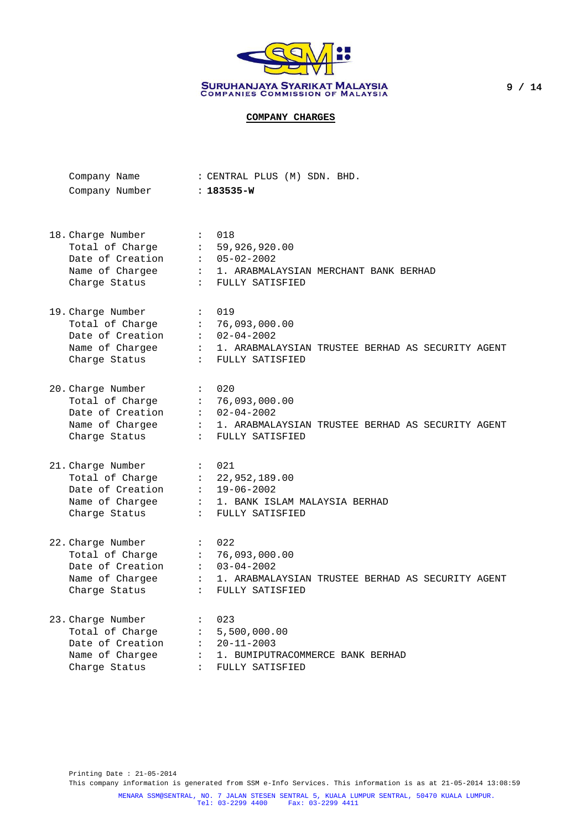

| Company Name                    | : CENTRAL PLUS (M) SDN. BHD.                                                                         |
|---------------------------------|------------------------------------------------------------------------------------------------------|
| Company Number : 183535-W       |                                                                                                      |
|                                 |                                                                                                      |
| 18. Charge Number               | $\therefore$ 018                                                                                     |
|                                 | Total of Charge : 59,926,920.00                                                                      |
|                                 |                                                                                                      |
|                                 | Date of Creation : 05-02-2002<br>Name of Chargee : 1. ARABMALAYSIAN MERCHANT BANK BERHAD             |
| Charge Status                   | : FULLY SATISFIED                                                                                    |
| 19. Charge Number               | $\cdot$ 019                                                                                          |
|                                 | Total of Charge : 76,093,000.00                                                                      |
| Date of Creation : $02-04-2002$ |                                                                                                      |
|                                 | Name of Chargee : 1. ARABMALAYSIAN TRUSTEE BERHAD AS SECURITY AGENT                                  |
| Charge Status                   | : FULLY SATISFIED                                                                                    |
| 20. Charge Number               | : 020                                                                                                |
|                                 | Total of Charge : 76,093,000.00                                                                      |
|                                 |                                                                                                      |
|                                 | Date of Creation : 02-04-2002<br>Name of Chargee : 1. ARABMALAYSIAN TRUSTEE BERHAD AS SECURITY AGENT |
| Charge Status                   | : FULLY SATISFIED                                                                                    |
| 21. Charge Number               | : 021                                                                                                |
|                                 | Total of Charge : 22,952,189.00                                                                      |
| Date of Creation : 19-06-2002   |                                                                                                      |
|                                 | Name of Chargee : 1. BANK ISLAM MALAYSIA BERHAD                                                      |
| Charge Status                   | : FULLY SATISFIED                                                                                    |
| 22. Charge Number               | $\therefore$ 022                                                                                     |
| Total of Charge                 | : 76,093,000.00                                                                                      |
|                                 |                                                                                                      |
|                                 | Date of Creation : 03-04-2002<br>Name of Chargee : 1. ARABMALAYSIAN TRUSTEE BERHAD AS SECURITY AGENT |
| Charge Status                   | : FULLY SATISFIED                                                                                    |
| 23. Charge Number               | $\therefore$ 023                                                                                     |
|                                 | Total of Charge : 5,500,000.00                                                                       |
| Date of Creation : 20-11-2003   |                                                                                                      |
|                                 | Name of Chargee : 1. BUMIPUTRACOMMERCE BANK BERHAD                                                   |
| Charge Status                   | : FULLY SATISFIED                                                                                    |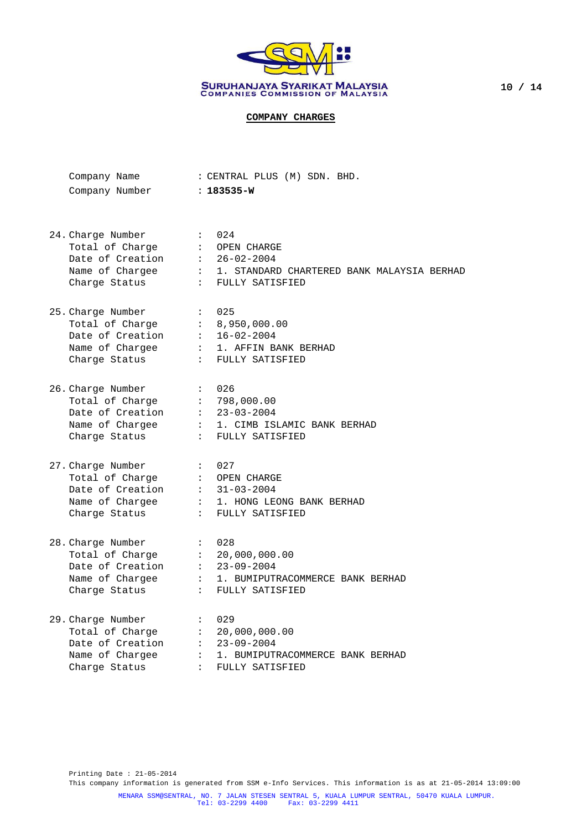

| Company Name                                                                                        | : CENTRAL PLUS (M) SDN. BHD.                                                                                                                                                            |
|-----------------------------------------------------------------------------------------------------|-----------------------------------------------------------------------------------------------------------------------------------------------------------------------------------------|
| Company Number : 183535-W                                                                           |                                                                                                                                                                                         |
| 24. Charge Number<br>Date of Creation : 26-02-2004                                                  | $\cdot$ 024<br>Total of Charge : OPEN CHARGE<br>Name of Chargee : 1. STANDARD CHARTERED BANK MALAYSIA BERHAD                                                                            |
| Charge Status                                                                                       | : FULLY SATISFIED                                                                                                                                                                       |
| 25. Charge Number<br>Charge Status                                                                  | $\therefore$ 025<br>Total of Charge : 8,950,000.00<br>Date of Creation : 16-02-2004<br>Name of Chargee : 1. AFFIN BANK BERHAD<br>: FULLY SATISFIED                                      |
| 26. Charge Number<br>Total of Charge : 798,000.00<br>Date of Creation : 23-03-2004<br>Charge Status | $\sim 10^{11}$ and $\sim 10^{11}$<br>026<br>Name of Chargee $\qquad$ : 1. CIMB ISLAMIC BANK BERHAD<br>Charge Status : FULLY SATISFIED<br>: FULLY SATISFIED                              |
| 27. Charge Number<br>Charge Status                                                                  | $\therefore$ 027<br>Total of Charge : OPEN CHARGE<br>Date of Creation : 31-03-2004<br>Name of Chargee : 1. HONG LEONG BANK BERHAD<br>: FULLY SATISFIED                                  |
| 28. Charge Number<br>Date of Creation : 23-09-2004<br>Charge Status                                 | <b>Contract Contract</b><br>028<br>Total of Charge : 20,000,000.00<br>Name of Chargee $\qquad \qquad : \qquad 1.$ BUMIPUTRACOMMERCE BANK BERHAD<br>$\sim$ 100 $\sim$<br>FULLY SATISFIED |
| 29. Charge Number<br>Date of Creation : $23-09-2004$<br>Name of Chargee<br>Charge Status            | Charge Number : 029<br>Total of Charge : 20,000,000.00<br>: 1. BUMIPUTRACOMMERCE BANK BERHAD<br>$\ddot{\phantom{a}}$<br>FULLY SATISFIED                                                 |

Printing Date : 21-05-2014 This company information is generated from SSM e-Info Services. This information is as at 21-05-2014 13:09:00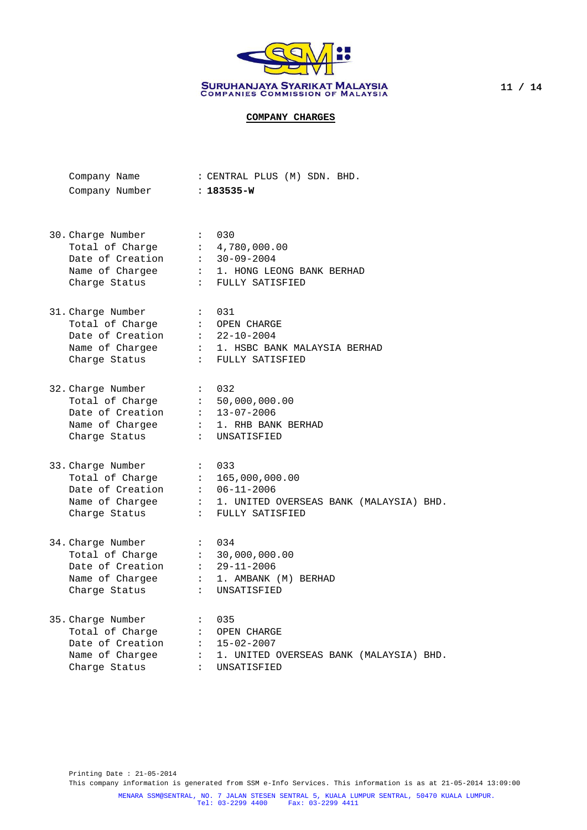

| Company Name   |  | : CENTRAL PLUS (M) SDN. BHD. |  |  |
|----------------|--|------------------------------|--|--|
| Company Number |  | $: 183535 - w$               |  |  |

- 30. Charge Number : 030 Total of Charge : 4,780,000.00 Date of Creation : 30-09-2004 Name of Chargee : 1. HONG LEONG BANK BERHAD Charge Status : FULLY SATISFIED 31. Charge Number : 031
- Total of Charge : OPEN CHARGE Date of Creation : 22-10-2004 Name of Chargee : 1. HSBC BANK MALAYSIA BERHAD Charge Status : FULLY SATISFIED
- 32. Charge Number : 032 Total of Charge : 50,000,000.00 Date of Creation : 13-07-2006 Name of Chargee : 1. RHB BANK BERHAD Charge Status : UNSATISFIED
- 33. Charge Number : 033 Total of Charge : 165,000,000.00 Date of Creation : 06-11-2006 Name of Chargee : 1. UNITED OVERSEAS BANK (MALAYSIA) BHD. Charge Status : FULLY SATISFIED
- 34. Charge Number : 034 Total of Charge : 30,000,000.00 Date of Creation : 29-11-2006 Name of Chargee : 1. AMBANK (M) BERHAD Charge Status : UNSATISFIED

| : 035                                     |
|-------------------------------------------|
| : OPEN CHARGE                             |
| $: 15 - 02 - 2007$                        |
| : 1. UNITED OVERSEAS BANK (MALAYSIA) BHD. |
| : UNSATISFIED                             |
|                                           |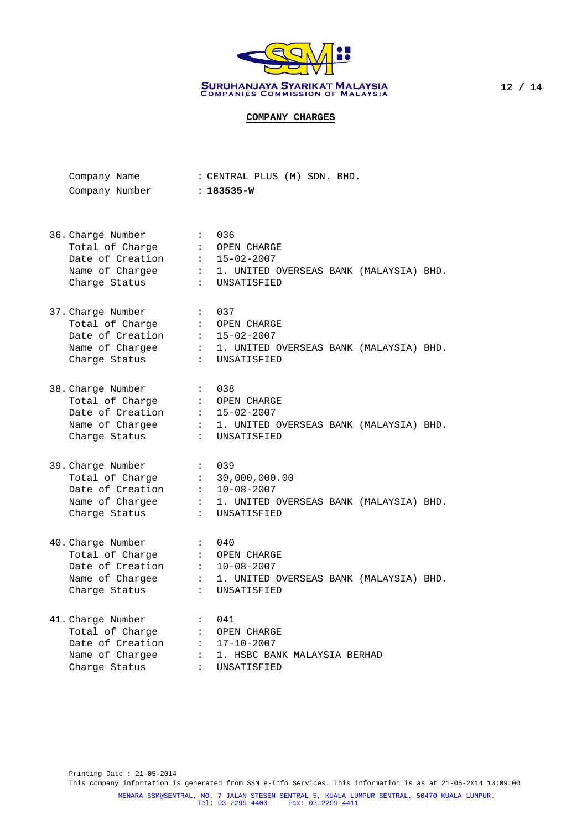

| Company Name                     | : CENTRAL PLUS (M) SDN. BHD. |                                                                                            |  |  |  |
|----------------------------------|------------------------------|--------------------------------------------------------------------------------------------|--|--|--|
| Company Number : 183535-W        |                              |                                                                                            |  |  |  |
|                                  |                              |                                                                                            |  |  |  |
|                                  |                              |                                                                                            |  |  |  |
| 36. Charge Number<br>$\cdot$ 036 |                              |                                                                                            |  |  |  |
| Total of Charge : OPEN CHARGE    |                              |                                                                                            |  |  |  |
| Date of Creation : 15-02-2007    |                              |                                                                                            |  |  |  |
|                                  |                              | Name of Chargee : 1. UNITED OVERSEAS BANK (MALAYSIA) BHD.                                  |  |  |  |
| Charge Status                    |                              | : UNSATISFIED                                                                              |  |  |  |
|                                  |                              |                                                                                            |  |  |  |
| 37. Charge Number                |                              | $\therefore$ 037                                                                           |  |  |  |
| Total of Charge                  |                              | : OPEN CHARGE                                                                              |  |  |  |
| Date of Creation                 |                              | $: 15-02-2007$                                                                             |  |  |  |
|                                  |                              | Name of Chargee : 1. UNITED OVERSEAS BANK (MALAYSIA) BHD.                                  |  |  |  |
| Charge Status                    |                              | : UNSATISFIED                                                                              |  |  |  |
|                                  |                              |                                                                                            |  |  |  |
| $\cdot$ 038<br>38. Charge Number |                              |                                                                                            |  |  |  |
| Total of Charge : OPEN CHARGE    |                              |                                                                                            |  |  |  |
|                                  |                              |                                                                                            |  |  |  |
| Date of Creation : $15-02-2007$  |                              |                                                                                            |  |  |  |
| Name of Chargee<br>Charge Status |                              | : 1. UNITED OVERSEAS BANK (MALAYSIA) BHD.<br>. INCAEISTITT<br>: UNSATISFIED                |  |  |  |
|                                  |                              |                                                                                            |  |  |  |
| 39. Charge Number                | $\mathbb{R}^2$               | 039                                                                                        |  |  |  |
| Total of Charge                  |                              | : 30,000,000.00                                                                            |  |  |  |
| Date of Creation : $10-08-2007$  |                              |                                                                                            |  |  |  |
|                                  |                              | Name of Chargee : 1. UNITED OVERSEAS BANK (MALAYSIA) BHD.                                  |  |  |  |
| Charge Status                    |                              | : UNSATISFIED                                                                              |  |  |  |
|                                  |                              |                                                                                            |  |  |  |
| 40. Charge Number<br>$\sim$ 040  |                              |                                                                                            |  |  |  |
| Total of Charge : OPEN CHARGE    |                              |                                                                                            |  |  |  |
|                                  |                              |                                                                                            |  |  |  |
|                                  |                              | Date of Creation : 10-08-2007<br>Name of Chargee : 1. UNITED OVERSEAS BANK (MALAYSIA) BHD. |  |  |  |
| Charge Status                    |                              | : UNSATISFIED                                                                              |  |  |  |
|                                  |                              |                                                                                            |  |  |  |
| 41. Charge Number                |                              | $\therefore$ 041                                                                           |  |  |  |
| Total of Charge                  |                              | : OPEN CHARGE                                                                              |  |  |  |
| Date of Creation : 17-10-2007    |                              |                                                                                            |  |  |  |
|                                  |                              | Name of Chargee : 1. HSBC BANK MALAYSIA BERHAD                                             |  |  |  |
| Charge Status                    | $\ddot{\phantom{a}}$         | UNSATISFIED                                                                                |  |  |  |
|                                  |                              |                                                                                            |  |  |  |

Printing Date : 21-05-2014 This company information is generated from SSM e-Info Services. This information is as at 21-05-2014 13:09:00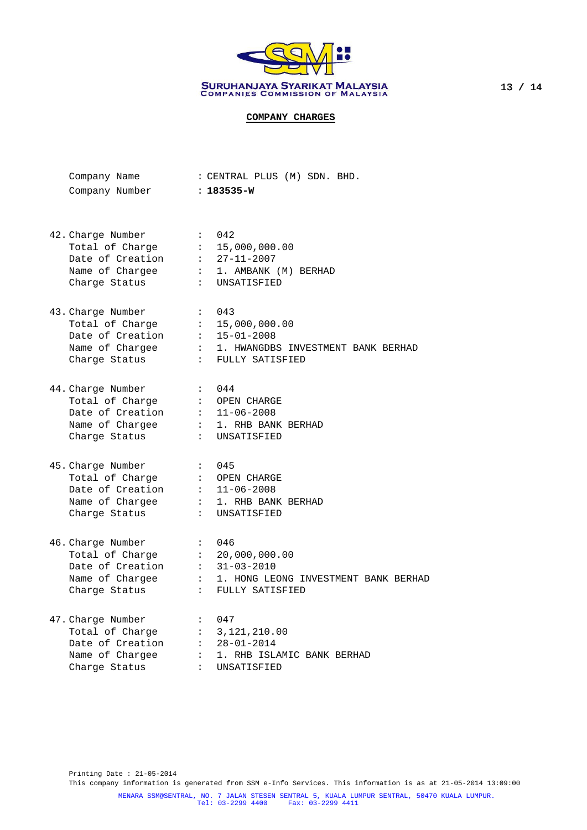

| Company Name | : CENTRAL PLUS (M) SDN. BHD. |  |  |
|--------------|------------------------------|--|--|
|              |                              |  |  |

Company Number : **183535-W**

- 42. Charge Number : 042 Total of Charge : 15,000,000.00 Date of Creation : 27-11-2007 Name of Chargee : 1. AMBANK (M) BERHAD Charge Status : UNSATISFIED
- 43. Charge Number : 043 Total of Charge : 15,000,000.00 Date of Creation : 15-01-2008 Name of Chargee : 1. HWANGDBS INVESTMENT BANK BERHAD Charge Status : FULLY SATISFIED
- 44. Charge Number : 044 Total of Charge : OPEN CHARGE Date of Creation : 11-06-2008 Name of Chargee : 1. RHB BANK BERHAD Charge Status : UNSATISFIED
- 45. Charge Number : 045 Total of Charge : OPEN CHARGE Date of Creation : 11-06-2008 Name of Chargee : 1. RHB BANK BERHAD Charge Status : UNSATISFIED
- 46. Charge Number : 046<br>Total of Charge : 20,000,000.00 Total of Charge Date of Creation : 31-03-2010 Name of Chargee : 1. HONG LEONG INVESTMENT BANK BERHAD Charge Status : FULLY SATISFIED

| : 047                        |
|------------------------------|
| : 3.121.210.00               |
| $: 28 - 01 - 2014$           |
| : 1. RHB ISLAMIC BANK BERHAD |
| : UNSATISFIED                |
|                              |